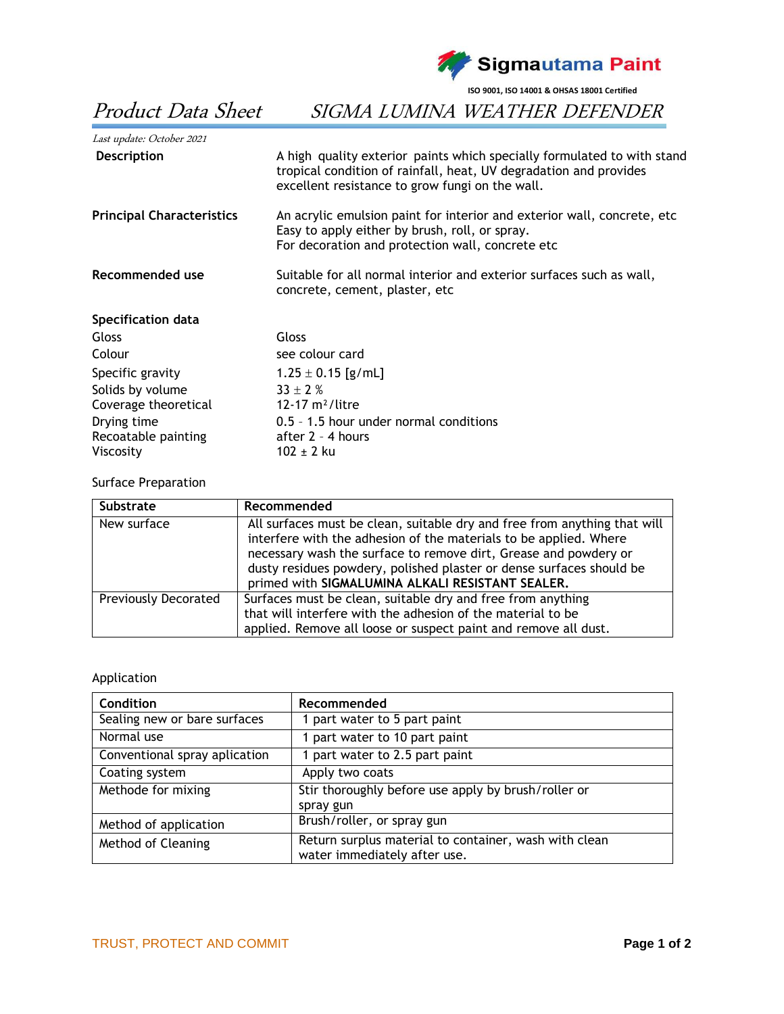

**ISO 9001, ISO 14001 & OHSAS 18001 Certified**

## Last update: October <sup>2021</sup> **Description** A high quality exterior paints which specially formulated to with stand tropical condition of rainfall, heat, UV degradation and provides excellent resistance to grow fungi on the wall. **Principal Characteristics** An acrylic emulsion paint for interior and exterior wall, concrete, etc Easy to apply either by brush, roll, or spray. For decoration and protection wall, concrete etc **Recommended use** Suitable for all normal interior and exterior surfaces such as wall, concrete, cement, plaster, etc **Specification data**  Gloss Gloss Colour see colour card Specific gravity  $1.25 \pm 0.15$  [g/mL] Solids by volume  $33 \pm 2$  %<br>Coverage theoretical  $12-17 \text{ m}^2$ /litre Coverage theoretical Drying time 0.5 – 1.5 hour under normal conditions Recoatable painting after 2 - 4 hours

## Surface Preparation

Viscosity  $102 \pm 2$  ku

| <b>Substrate</b>     | Recommended                                                                                                                                                                                                                                                                                                                                    |
|----------------------|------------------------------------------------------------------------------------------------------------------------------------------------------------------------------------------------------------------------------------------------------------------------------------------------------------------------------------------------|
| New surface          | All surfaces must be clean, suitable dry and free from anything that will<br>interfere with the adhesion of the materials to be applied. Where<br>necessary wash the surface to remove dirt, Grease and powdery or<br>dusty residues powdery, polished plaster or dense surfaces should be<br>primed with SIGMALUMINA ALKALI RESISTANT SEALER. |
| Previously Decorated | Surfaces must be clean, suitable dry and free from anything<br>that will interfere with the adhesion of the material to be<br>applied. Remove all loose or suspect paint and remove all dust.                                                                                                                                                  |

## Application

| <b>Condition</b>              | Recommended                                                                           |
|-------------------------------|---------------------------------------------------------------------------------------|
| Sealing new or bare surfaces  | 1 part water to 5 part paint                                                          |
| Normal use                    | 1 part water to 10 part paint                                                         |
| Conventional spray aplication | 1 part water to 2.5 part paint                                                        |
| Coating system                | Apply two coats                                                                       |
| Methode for mixing            | Stir thoroughly before use apply by brush/roller or<br>spray gun                      |
| Method of application         | Brush/roller, or spray gun                                                            |
| Method of Cleaning            | Return surplus material to container, wash with clean<br>water immediately after use. |